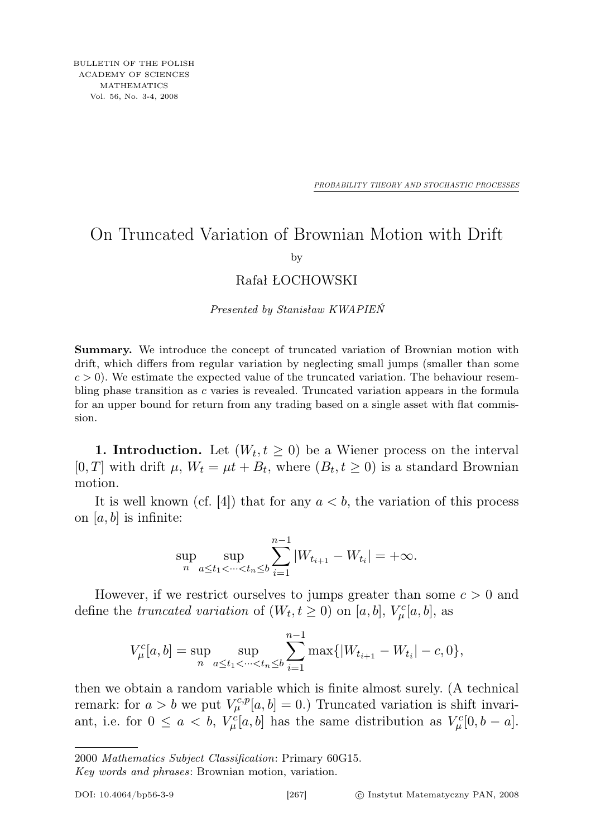*PROBABILITY THEORY AND STOCHASTIC PROCESSES*

## On Truncated Variation of Brownian Motion with Drift

by

## Rafał ŁOCHOWSKI

Presented by Stanisław KWAPIEŃ

Summary. We introduce the concept of truncated variation of Brownian motion with drift, which differs from regular variation by neglecting small jumps (smaller than some  $c > 0$ ). We estimate the expected value of the truncated variation. The behaviour resembling phase transition as  $c$  varies is revealed. Truncated variation appears in the formula for an upper bound for return from any trading based on a single asset with flat commission.

**1. Introduction.** Let  $(W_t, t \geq 0)$  be a Wiener process on the interval [0, T] with drift  $\mu$ ,  $W_t = \mu t + B_t$ , where  $(B_t, t \ge 0)$  is a standard Brownian motion.

It is well known (cf. [4]) that for any  $a < b$ , the variation of this process on  $[a, b]$  is infinite:

$$
\sup_{n} \sup_{a \le t_1 < \dots < t_n \le b} \sum_{i=1}^{n-1} |W_{t_{i+1}} - W_{t_i}| = +\infty.
$$

However, if we restrict ourselves to jumps greater than some  $c > 0$  and define the truncated variation of  $(W_t, t \ge 0)$  on [a, b],  $V^c_\mu[a, b]$ , as

$$
V_{\mu}^{c}[a,b] = \sup_{n} \sup_{a \le t_1 < \dots < t_n \le b} \sum_{i=1}^{n-1} \max\{|W_{t_{i+1}} - W_{t_i}| - c, 0\},\,
$$

then we obtain a random variable which is finite almost surely. (A technical remark: for  $a > b$  we put  $V_{\mu}^{c,p}[a, b] = 0$ .) Truncated variation is shift invariant, i.e. for  $0 \le a < b$ ,  $V^c_\mu[a, b]$  has the same distribution as  $V^c_\mu[0, b - a]$ .

Key words and phrases: Brownian motion, variation.

<sup>2000</sup> Mathematics Subject Classification: Primary 60G15.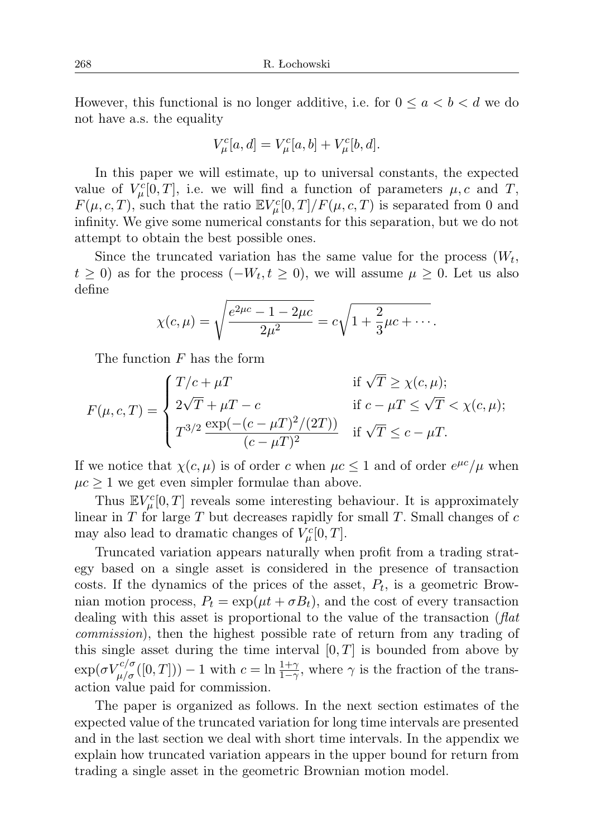However, this functional is no longer additive, i.e. for  $0 \le a < b < d$  we do not have a.s. the equality

$$
V_{\mu}^{c}[a,d] = V_{\mu}^{c}[a,b] + V_{\mu}^{c}[b,d].
$$

In this paper we will estimate, up to universal constants, the expected value of  $V^c_\mu[0,T]$ , i.e. we will find a function of parameters  $\mu$ , c and T,  $F(\mu, c, T)$ , such that the ratio  $\mathbb{E} V^c_\mu[0,T]/F(\mu, c, T)$  is separated from 0 and infinity. We give some numerical constants for this separation, but we do not attempt to obtain the best possible ones.

Since the truncated variation has the same value for the process  $(W_t,$  $t \geq 0$ ) as for the process  $(-W_t, t \geq 0)$ , we will assume  $\mu \geq 0$ . Let us also define

$$
\chi(c,\mu) = \sqrt{\frac{e^{2\mu c} - 1 - 2\mu c}{2\mu^2}} = c\sqrt{1 + \frac{2}{3}\mu c + \cdots}.
$$

The function F has the form

$$
F(\mu, c, T) = \begin{cases} T/c + \mu T & \text{if } \sqrt{T} \ge \chi(c, \mu); \\ 2\sqrt{T} + \mu T - c & \text{if } c - \mu T \le \sqrt{T} < \chi(c, \mu); \\ T^{3/2} \frac{\exp(-(c - \mu T)^2 / (2T))}{(c - \mu T)^2} & \text{if } \sqrt{T} \le c - \mu T. \end{cases}
$$

If we notice that  $\chi(c, \mu)$  is of order c when  $\mu c \leq 1$  and of order  $e^{\mu c}/\mu$  when  $\mu c \geq 1$  we get even simpler formulae than above.

Thus  $\mathbb{E} V^c_\mu[0,T]$  reveals some interesting behaviour. It is approximately linear in  $T$  for large  $T$  but decreases rapidly for small  $T$ . Small changes of  $c$ may also lead to dramatic changes of  $V^c_\mu[0,T]$ .

Truncated variation appears naturally when profit from a trading strategy based on a single asset is considered in the presence of transaction costs. If the dynamics of the prices of the asset,  $P_t$ , is a geometric Brownian motion process,  $P_t = \exp(\mu t + \sigma B_t)$ , and the cost of every transaction dealing with this asset is proportional to the value of the transaction  $(\text{flat})$ commission), then the highest possible rate of return from any trading of this single asset during the time interval  $[0, T]$  is bounded from above by  $\exp(\sigma V_{\mu/\sigma}^{c/\sigma}([0,T])) - 1$  with  $c = \ln \frac{1+\gamma}{1-\gamma}$ , where  $\gamma$  is the fraction of the transaction value paid for commission.

The paper is organized as follows. In the next section estimates of the expected value of the truncated variation for long time intervals are presented and in the last section we deal with short time intervals. In the appendix we explain how truncated variation appears in the upper bound for return from trading a single asset in the geometric Brownian motion model.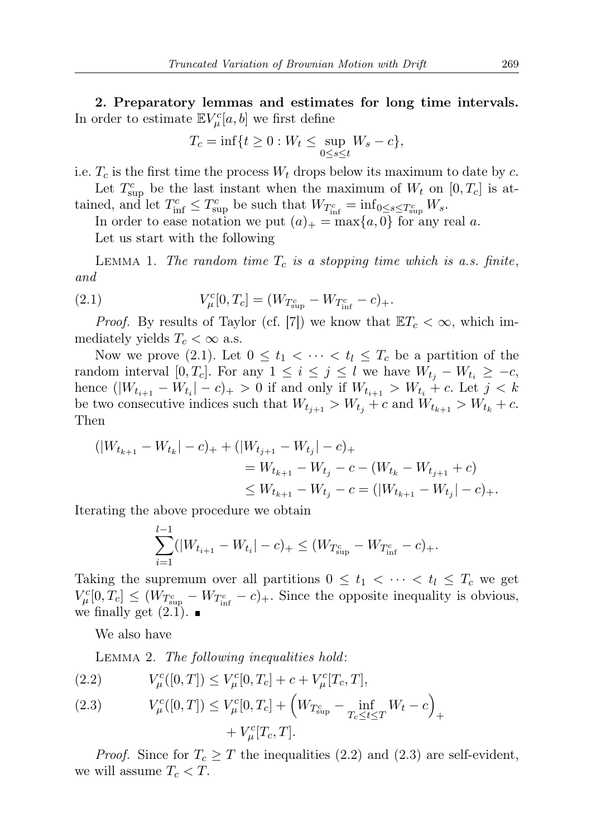2. Preparatory lemmas and estimates for long time intervals. In order to estimate  $\mathbb{E} V^c_\mu[a,b]$  we first define

$$
T_c = \inf\{t \ge 0 : W_t \le \sup_{0 \le s \le t} W_s - c\},\
$$

i.e.  $T_c$  is the first time the process  $W_t$  drops below its maximum to date by c.

Let  $T_{\text{sup}}^c$  be the last instant when the maximum of  $W_t$  on  $[0, T_c]$  is attained, and let  $T_{\text{inf}}^c \leq T_{\text{sup}}^c$  be such that  $W_{T_{\text{inf}}^c} = \inf_{0 \leq s \leq T_{\text{sup}}^c} W_s$ .

In order to ease notation we put  $(a)_+ = \max\{a, 0\}$  for any real a. Let us start with the following

LEMMA 1. The random time  $T_c$  is a stopping time which is a.s. finite, and

(2.1) 
$$
V_{\mu}^{c}[0,T_{c}] = (W_{T_{\text{sup}}^{c}} - W_{T_{\text{inf}}^{c}} - c)_{+}.
$$

*Proof.* By results of Taylor (cf. [7]) we know that  $\mathbb{E}T_c < \infty$ , which immediately yields  $T_c < \infty$  a.s.

Now we prove (2.1). Let  $0 \leq t_1 < \cdots < t_l \leq T_c$  be a partition of the random interval [0,  $T_c$ ]. For any  $1 \leq i \leq j \leq l$  we have  $W_{t_i} - W_{t_i} \geq -c$ , hence  $(|W_{t_{i+1}} - W_{t_i}| - c)_+ > 0$  if and only if  $W_{t_{i+1}} > W_{t_i} + c$ . Let  $j < k$ be two consecutive indices such that  $W_{t_{j+1}} > W_{t_j} + c$  and  $W_{t_{k+1}} > W_{t_k} + c$ . Then

$$
\begin{aligned} (|W_{t_{k+1}} - W_{t_k}| - c)_+ + (|W_{t_{j+1}} - W_{t_j}| - c)_+ \\ &= W_{t_{k+1}} - W_{t_j} - c - (W_{t_k} - W_{t_{j+1}} + c) \\ &\le W_{t_{k+1}} - W_{t_j} - c = (|W_{t_{k+1}} - W_{t_j}| - c)_+ .\end{aligned}
$$

Iterating the above procedure we obtain

$$
\sum_{i=1}^{l-1} (|W_{t_{i+1}} - W_{t_i}| - c)_+ \le (W_{T_{\text{sup}}^c} - W_{T_{\text{inf}}^c} - c)_+.
$$

Taking the supremum over all partitions  $0 \leq t_1 < \cdots < t_l \leq T_c$  we get  $V_{\mu}^{c}[0,T_c] \leq (W_{T_{\text{sup}}^c} - W_{T_{\text{inf}}^c} - c)$ . Since the opposite inequality is obvious, we finally get  $(2.1)$ .

We also have

LEMMA 2. The following inequalities hold:

(2.2) 
$$
V_{\mu}^{c}([0,T]) \leq V_{\mu}^{c}[0,T_{c}] + c + V_{\mu}^{c}[T_{c},T],
$$

(2.3) 
$$
V_{\mu}^{c}([0,T]) \leq V_{\mu}^{c}[0,T_{c}] + \left(W_{T_{\sup}^{c}} - \inf_{T_{c} \leq t \leq T} W_{t} - c\right)_{+} + V_{\mu}^{c}[T_{c},T].
$$

*Proof.* Since for  $T_c \geq T$  the inequalities (2.2) and (2.3) are self-evident, we will assume  $T_c < T$ .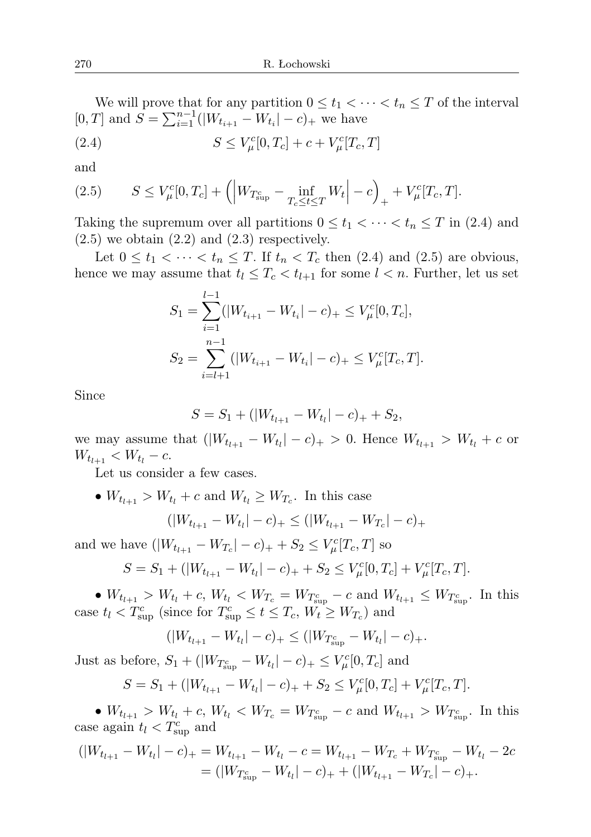We will prove that for any partition  $0 \leq t_1 < \cdots < t_n \leq T$  of the interval [0, T] and  $S = \sum_{i=1}^{n-1} (|W_{t_{i+1}} - W_{t_i}| - c)_+$  we have

(2.4) 
$$
S \le V_{\mu}^{c}[0, T_{c}] + c + V_{\mu}^{c}[T_{c}, T]
$$

and

(2.5) 
$$
S \le V_{\mu}^{c}[0,T_{c}] + \left( \left| W_{T_{\text{sup}}^{c}} - \inf_{T_{c} \le t \le T} W_{t} \right| - c \right)_{+} + V_{\mu}^{c}[T_{c},T].
$$

Taking the supremum over all partitions  $0 \le t_1 < \cdots < t_n \le T$  in (2.4) and  $(2.5)$  we obtain  $(2.2)$  and  $(2.3)$  respectively.

Let  $0 \le t_1 < \cdots < t_n \le T$ . If  $t_n < T_c$  then  $(2.4)$  and  $(2.5)$  are obvious, hence we may assume that  $t_l \leq T_c < t_{l+1}$  for some  $l < n$ . Further, let us set

$$
S_1 = \sum_{i=1}^{l-1} (|W_{t_{i+1}} - W_{t_i}| - c)_+ \le V^c_\mu[0, T_c],
$$
  

$$
S_2 = \sum_{i=l+1}^{n-1} (|W_{t_{i+1}} - W_{t_i}| - c)_+ \le V^c_\mu[T_c, T].
$$

Since

$$
S = S_1 + (|W_{t_{l+1}} - W_{t_l}| - c)_+ + S_2,
$$

we may assume that  $(|W_{t_{l+1}} - W_{t_l}| - c)_+ > 0$ . Hence  $W_{t_{l+1}} > W_{t_l} + c$  or  $W_{t_{l+1}} < W_{t_l} - c.$ 

Let us consider a few cases.

•  $W_{t_{l+1}} > W_{t_l} + c$  and  $W_{t_l} \geq W_{T_c}$ . In this case

$$
(|W_{t_{l+1}} - W_{t_l}| - c)_+ \leq (|W_{t_{l+1}} - W_{T_c}| - c)_+
$$

and we have  $(|W_{t_{l+1}} - W_{T_c}| - c)_+ + S_2 \leq V^c_\mu[T_c, T]$  so

$$
S = S_1 + (|W_{t_{l+1}} - W_{t_l}| - c)_+ + S_2 \le V^c_\mu[0, T_c] + V^c_\mu[T_c, T].
$$

•  $W_{t_{l+1}} > W_{t_l} + c$ ,  $W_{t_l} < W_{T_c} = W_{T_{\text{sup}}^c} - c$  and  $W_{t_{l+1}} \leq W_{T_{\text{sup}}^c}$ . In this case  $t_l < T_{\text{sup}}^c$  (since for  $T_{\text{sup}}^c \le t \le T_c$ ,  $W_t \ge W_{T_c}$ ) and

$$
(|W_{t_{l+1}} - W_{t_l}| - c)_+ \leq (|W_{T_{\sup}^c} - W_{t_l}| - c)_+.
$$

Just as before,  $S_1 + (|W_{T_{\text{sup}}^c} - W_{t_l}| - c)_+ \leq V^c_\mu[0, T_c]$  and

$$
S = S_1 + (|W_{t_{l+1}} - W_{t_l}| - c)_+ + S_2 \le V^c_\mu[0, T_c] + V^c_\mu[T_c, T].
$$

•  $W_{t_{l+1}} > W_{t_l} + c$ ,  $W_{t_l} < W_{T_c} = W_{T_{\text{sup}}^c} - c$  and  $W_{t_{l+1}} > W_{T_{\text{sup}}^c}$ . In this case again  $t_l < T_{\text{sup}}^c$  and

$$
(|W_{t_{l+1}} - W_{t_l}| - c)_+ = W_{t_{l+1}} - W_{t_l} - c = W_{t_{l+1}} - W_{T_c} + W_{T_{\sup}} - W_{t_l} - 2c
$$
  
= 
$$
(|W_{T_{\sup}} - W_{t_l}| - c)_+ + (|W_{t_{l+1}} - W_{T_c}| - c)_+.
$$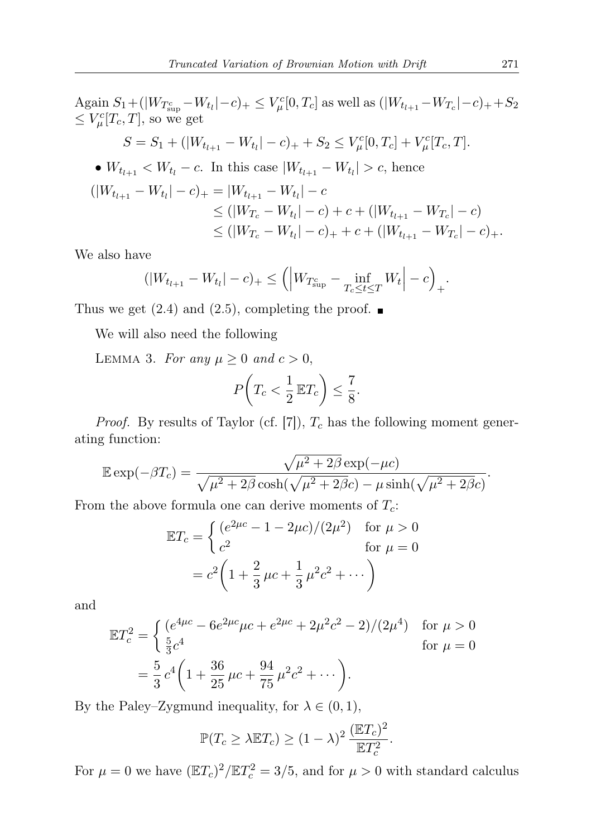Again 
$$
S_1 + (|W_{T_{\text{sup}}^c} - W_{t_l}| - c)_+ \leq V_{\mu}^c[0, T_c]
$$
 as well as  $(|W_{t_{l+1}} - W_{T_c}| - c)_+ + S_2$   
\n $\leq V_{\mu}^c[T_c, T]$ , so we get  
\n $S = S_1 + (|W_{t_{l+1}} - W_{t_l}| - c)_+ + S_2 \leq V_{\mu}^c[0, T_c] + V_{\mu}^c[T_c, T]$ .  
\n•  $W_{t_{l+1}} < W_{t_l} - c$ . In this case  $|W_{t_{l+1}} - W_{t_l}| > c$ , hence  
\n $(|W_{t_{l+1}} - W_{t_l}| - c)_+ = |W_{t_{l+1}} - W_{t_l}| - c$   
\n $\leq (|W_{T_c} - W_{t_l}| - c) + c + (|W_{t_{l+1}} - W_{T_c}| - c)$   
\n $\leq (|W_{T_c} - W_{t_l}| - c)_+ + c + (|W_{t_{l+1}} - W_{T_c}| - c)_+$ .

We also have

$$
(|W_{t_{l+1}} - W_{t_l}| - c)_+ \leq (|W_{T_{\text{sup}}^c} - \inf_{T_c \leq t \leq T} W_t| - c)_+.
$$

Thus we get  $(2.4)$  and  $(2.5)$ , completing the proof.  $\blacksquare$ 

We will also need the following

LEMMA 3. For any  $\mu \geq 0$  and  $c > 0$ ,

$$
P\left(T_c < \frac{1}{2} \mathbb{E} T_c\right) \le \frac{7}{8}.
$$

*Proof.* By results of Taylor (cf. [7]),  $T_c$  has the following moment generating function:

$$
\mathbb{E}\exp(-\beta T_c) = \frac{\sqrt{\mu^2 + 2\beta} \exp(-\mu c)}{\sqrt{\mu^2 + 2\beta} \cosh(\sqrt{\mu^2 + 2\beta}c) - \mu \sinh(\sqrt{\mu^2 + 2\beta}c)}.
$$

From the above formula one can derive moments of  $T_c$ :

$$
\mathbb{E}T_c = \begin{cases} (e^{2\mu c} - 1 - 2\mu c)/(2\mu^2) & \text{for } \mu > 0\\ c^2 & \text{for } \mu = 0 \end{cases}
$$

$$
= c^2 \left(1 + \frac{2}{3}\mu c + \frac{1}{3}\mu^2 c^2 + \cdots\right)
$$

and

$$
\mathbb{E}T_c^2 = \begin{cases} (e^{4\mu c} - 6e^{2\mu c}\mu c + e^{2\mu c} + 2\mu^2 c^2 - 2)/(2\mu^4) & \text{for } \mu > 0\\ \frac{5}{3}c^4 & \text{for } \mu = 0 \end{cases}
$$

$$
= \frac{5}{3}c^4\left(1 + \frac{36}{25}\mu c + \frac{94}{75}\mu^2 c^2 + \cdots\right).
$$

By the Paley–Zygmund inequality, for  $\lambda \in (0,1)$ ,

$$
\mathbb{P}(T_c \ge \lambda \mathbb{E} T_c) \ge (1 - \lambda)^2 \frac{(\mathbb{E} T_c)^2}{\mathbb{E} T_c^2}.
$$

For  $\mu = 0$  we have  $(\mathbb{E}T_c)^2 / \mathbb{E}T_c^2 = 3/5$ , and for  $\mu > 0$  with standard calculus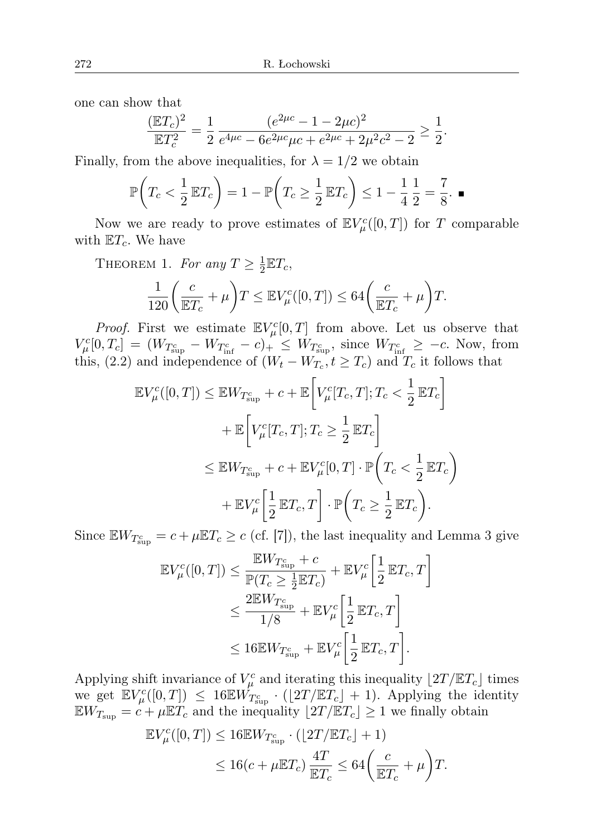one can show that

$$
\frac{(\mathbb{E}T_c)^2}{\mathbb{E}T_c^2} = \frac{1}{2} \frac{(e^{2\mu c} - 1 - 2\mu c)^2}{e^{4\mu c} - 6e^{2\mu c}\mu c + e^{2\mu c} + 2\mu^2 c^2 - 2} \ge \frac{1}{2}.
$$

Finally, from the above inequalities, for  $\lambda = 1/2$  we obtain

$$
\mathbb{P}\left(T_c < \frac{1}{2}\mathbb{E}T_c\right) = 1 - \mathbb{P}\left(T_c \ge \frac{1}{2}\mathbb{E}T_c\right) \le 1 - \frac{1}{4}\frac{1}{2} = \frac{7}{8}.\blacksquare
$$

Now we are ready to prove estimates of  $\mathbb{E} V^c_{\mu}([0,T])$  for T comparable with  $\mathbb{E}T_c$ . We have

THEOREM 1. For any  $T \geq \frac{1}{2}$  $\frac{1}{2} \mathbb{E} T_c$ 

$$
\frac{1}{120} \left( \frac{c}{\mathbb{E}T_c} + \mu \right) T \leq \mathbb{E} V^c_{\mu}([0, T]) \leq 64 \left( \frac{c}{\mathbb{E}T_c} + \mu \right) T.
$$

*Proof.* First we estimate  $\mathbb{E} V^c_{\mu}[0,T]$  from above. Let us observe that  $V_{\mu}^{c}[0,T_c] = (W_{T_{\text{sup}}^c} - W_{T_{\text{inf}}^c} - c)_{+} \leq W_{T_{\text{sup}}^c}$ , since  $W_{T_{\text{inf}}^c} \geq -c$ . Now, from this, (2.2) and independence of  $(W_t - W_{T_c}, t \ge T_c)$  and  $T_c$  it follows that

$$
\mathbb{E}V_{\mu}^{c}([0,T]) \leq \mathbb{E}W_{T_{\sup}^{c}} + c + \mathbb{E}\left[V_{\mu}^{c}[T_{c},T]; T_{c} < \frac{1}{2}\mathbb{E}T_{c}\right]
$$
  
+ 
$$
\mathbb{E}\left[V_{\mu}^{c}[T_{c},T]; T_{c} \geq \frac{1}{2}\mathbb{E}T_{c}\right]
$$
  

$$
\leq \mathbb{E}W_{T_{\sup}^{c}} + c + \mathbb{E}V_{\mu}^{c}[0,T] \cdot \mathbb{P}\left(T_{c} < \frac{1}{2}\mathbb{E}T_{c}\right)
$$
  
+ 
$$
\mathbb{E}V_{\mu}^{c}\left[\frac{1}{2}\mathbb{E}T_{c}, T\right] \cdot \mathbb{P}\left(T_{c} \geq \frac{1}{2}\mathbb{E}T_{c}\right).
$$

Since  $\mathbb{E} W_{T_{\text{sup}}^c} = c + \mu \mathbb{E} T_c \geq c$  (cf. [7]), the last inequality and Lemma 3 give

$$
\mathbb{E}V_{\mu}^{c}([0,T]) \leq \frac{\mathbb{E}W_{T_{\sup}^{c}} + c}{\mathbb{P}(T_{c} \geq \frac{1}{2}\mathbb{E}T_{c})} + \mathbb{E}V_{\mu}^{c} \left[\frac{1}{2}\mathbb{E}T_{c}, T\right]
$$
  

$$
\leq \frac{2\mathbb{E}W_{T_{\sup}^{c}}}{1/8} + \mathbb{E}V_{\mu}^{c} \left[\frac{1}{2}\mathbb{E}T_{c}, T\right]
$$
  

$$
\leq 16\mathbb{E}W_{T_{\sup}^{c}} + \mathbb{E}V_{\mu}^{c} \left[\frac{1}{2}\mathbb{E}T_{c}, T\right].
$$

Applying shift invariance of  $V^c_\mu$  and iterating this inequality  $\lfloor 2T / \mathbb{E}T_c \rfloor$  times we get  $\mathbb{E} V^c_{\mu}([0,T]) \leq 16 \mathbb{E} W^c_{T^c_{\text{sup}}} \cdot (2T/\mathbb{E} T_c + 1)$ . Applying the identity  $\mathbb{E} W_{T_{\text{sup}}} = c + \mu \mathbb{E} T_c$  and the inequality  $\lfloor 2T / \mathbb{E} T_c \rfloor \geq 1$  we finally obtain

$$
\mathbb{E}V_{\mu}^{c}([0,T]) \leq 16\mathbb{E}W_{T_{\sup}^{c}} \cdot (\lfloor 2T/\mathbb{E}T_{c} \rfloor + 1)
$$
  

$$
\leq 16(c + \mu \mathbb{E}T_{c}) \frac{4T}{\mathbb{E}T_{c}} \leq 64\left(\frac{c}{\mathbb{E}T_{c}} + \mu\right)T.
$$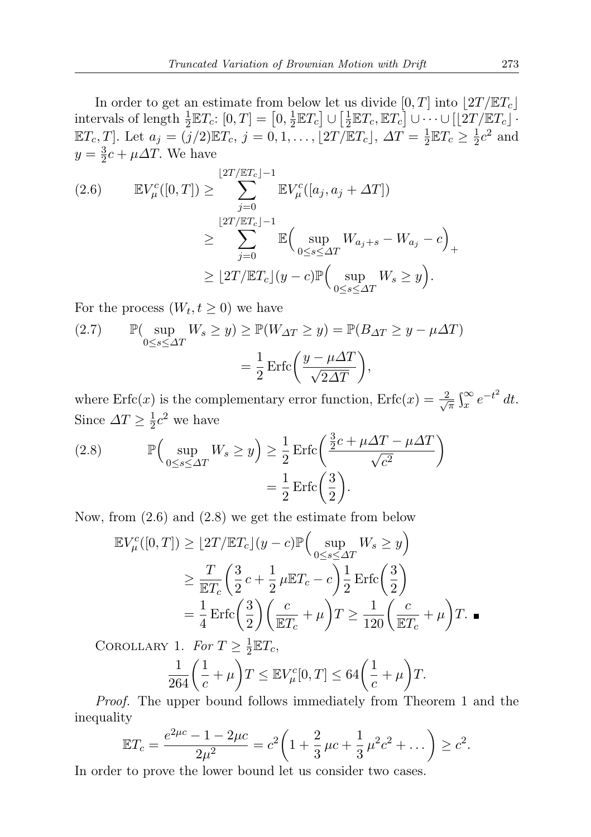In order to get an estimate from below let us divide  $[0, T]$  into  $\lfloor 2T / \mathbb{E} T_c \rfloor$ intervals of length  $\frac{1}{2}\mathbb{E}T_c: [0,T] = [0, \frac{1}{2}]$  $\frac{1}{2}\mathbb{E}T_c\big]\cup\big[\frac{1}{2}$  $\frac{1}{2}\mathbb{E}T_c$ ,  $\mathbb{E}T_c$   $\bigcup$   $\bigcup$   $\cdots$   $\bigcup$   $\bigl[\bigl[2T/\mathbb{E}T_c\bigr]\bigr]$ .  $\mathbb{E}T_c, T]$ . Let  $a_j = (j/2)\mathbb{E}T_c, j = 0, 1, \ldots, \lfloor 2T/\mathbb{E}T_c \rfloor, \Delta T = \frac{1}{2}$  $\frac{1}{2} \mathbb{E} T_c \geq \frac{1}{2}$  $\frac{1}{2}c^2$  and  $y=\frac{3}{2}$  $\frac{3}{2}c + \mu \Delta T$ . We have

$$
(2.6) \qquad \mathbb{E}V_{\mu}^{c}([0,T]) \geq \sum_{j=0}^{\lfloor 2T/\mathbb{E}T_{c}\rfloor -1} \mathbb{E}V_{\mu}^{c}([a_{j}, a_{j} + \Delta T])
$$

$$
\geq \sum_{j=0}^{\lfloor 2T/\mathbb{E}T_{c}\rfloor -1} \mathbb{E}\Big(\sup_{0\leq s\leq \Delta T} W_{a_{j}+s} - W_{a_{j}} - c\Big)_{+}
$$

$$
\geq \lfloor 2T/\mathbb{E}T_{c}\rfloor(y-c)\mathbb{P}\Big(\sup_{0\leq s\leq \Delta T} W_{s} \geq y\Big).
$$

For the process  $(W_t, t \geq 0)$  we have

(2.7) 
$$
\mathbb{P}(\sup_{0 \le s \le \Delta T} W_s \ge y) \ge \mathbb{P}(W_{\Delta T} \ge y) = \mathbb{P}(B_{\Delta T} \ge y - \mu \Delta T)
$$

$$
= \frac{1}{2} \operatorname{Erfc} \left( \frac{y - \mu \Delta T}{\sqrt{2\Delta T}} \right),
$$

where  $\text{Erfc}(x)$  is the complementary error function,  $\text{Erfc}(x) = \frac{2}{\sqrt{2}}$  $\frac{2}{\pi} \int_x^{\infty} e^{-t^2} dt$ . Since  $\Delta T \geq \frac{1}{2}$  $\frac{1}{2}c^2$  we have

(2.8) 
$$
\mathbb{P}\left(\sup_{0\leq s\leq \Delta T} W_s \geq y\right) \geq \frac{1}{2} \operatorname{Erfc}\left(\frac{\frac{3}{2}c + \mu\Delta T - \mu\Delta T}{\sqrt{c^2}}\right) = \frac{1}{2} \operatorname{Erfc}\left(\frac{3}{2}\right).
$$

Now, from (2.6) and (2.8) we get the estimate from below

$$
\mathbb{E}V_{\mu}^{c}([0,T]) \geq \lfloor 2T/\mathbb{E}T_{c} \rfloor(y-c)\mathbb{P}\Big(\sup_{0\leq s\leq \Delta T}W_{s} \geq y\Big)
$$
  

$$
\geq \frac{T}{\mathbb{E}T_{c}}\Big(\frac{3}{2}c + \frac{1}{2}\mu\mathbb{E}T_{c} - c\Big) \frac{1}{2}\operatorname{Erfc}\Big(\frac{3}{2}\Big)
$$
  

$$
= \frac{1}{4}\operatorname{Erfc}\Big(\frac{3}{2}\Big)\Big(\frac{c}{\mathbb{E}T_{c}} + \mu\Big)T \geq \frac{1}{120}\Big(\frac{c}{\mathbb{E}T_{c}} + \mu\Big)T.
$$

COROLLARY 1. For  $T \geq \frac{1}{2}$  $\frac{1}{2} \mathbb{E} T_c$ 

$$
\frac{1}{264} \left( \frac{1}{c} + \mu \right) T \leq \mathbb{E} V_{\mu}^{c}[0, T] \leq 64 \left( \frac{1}{c} + \mu \right) T.
$$

Proof. The upper bound follows immediately from Theorem 1 and the inequality

$$
\mathbb{E}T_c = \frac{e^{2\mu c} - 1 - 2\mu c}{2\mu^2} = c^2 \left(1 + \frac{2}{3}\mu c + \frac{1}{3}\mu^2 c^2 + \dots \right) \geq c^2.
$$

In order to prove the lower bound let us consider two cases.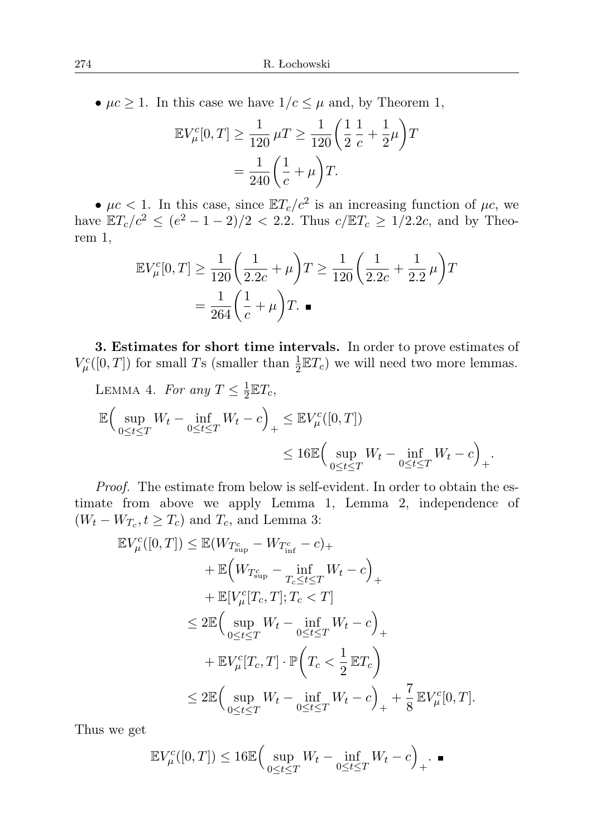•  $\mu c \geq 1$ . In this case we have  $1/c \leq \mu$  and, by Theorem 1,

$$
\mathbb{E}V_{\mu}^{c}[0,T] \ge \frac{1}{120} \mu T \ge \frac{1}{120} \left(\frac{1}{2} \frac{1}{c} + \frac{1}{2} \mu\right)T
$$
  
=  $\frac{1}{240} \left(\frac{1}{c} + \mu\right)T.$ 

•  $\mu c < 1$ . In this case, since  $\mathbb{E}T_c/c^2$  is an increasing function of  $\mu c$ , we have  $\mathbb{E}T_c/c^2 \le (e^2 - 1 - 2)/2 < 2.2$ . Thus  $c/\mathbb{E}T_c \ge 1/2.2c$ , and by Theorem 1,

$$
\mathbb{E}V_{\mu}^{c}[0,T] \ge \frac{1}{120} \left(\frac{1}{2.2c} + \mu\right)T \ge \frac{1}{120} \left(\frac{1}{2.2c} + \frac{1}{2.2}\mu\right)T
$$

$$
= \frac{1}{264} \left(\frac{1}{c} + \mu\right)T.
$$

3. Estimates for short time intervals. In order to prove estimates of  $V^c_\mu([0,T])$  for small Ts (smaller than  $\frac{1}{2}\mathbb{E}T_c$ ) we will need two more lemmas.

LEMMA 4. For any 
$$
T \le \frac{1}{2} \mathbb{E} T_c
$$
,  
\n
$$
\mathbb{E} \Big( \sup_{0 \le t \le T} W_t - \inf_{0 \le t \le T} W_t - c \Big)_{+} \le \mathbb{E} V^c_\mu([0, T])
$$
\n
$$
\le 16 \mathbb{E} \Big( \sup_{0 \le t \le T} W_t - \inf_{0 \le t \le T} W_t - c \Big)_{+}.
$$

Proof. The estimate from below is self-evident. In order to obtain the estimate from above we apply Lemma 1, Lemma 2, independence of  $(W_t - W_{T_c}, t \ge T_c)$  and  $T_c$ , and Lemma 3:

$$
\mathbb{E}V_{\mu}^{c}([0,T]) \leq \mathbb{E}(W_{T_{\sup}^{c}} - W_{T_{\inf}^{c}} - c)_{+}
$$
  
+ 
$$
\mathbb{E}\Big(W_{T_{\sup}^{c}} - \inf_{T_{c} \leq t \leq T} W_{t} - c\Big)_{+}
$$
  
+ 
$$
\mathbb{E}[V_{\mu}^{c}[T_{c},T]; T_{c} < T]
$$
  

$$
\leq 2\mathbb{E}\Big(\sup_{0 \leq t \leq T} W_{t} - \inf_{0 \leq t \leq T} W_{t} - c\Big)_{+}
$$
  
+ 
$$
\mathbb{E}V_{\mu}^{c}[T_{c},T] \cdot \mathbb{P}\Big(T_{c} < \frac{1}{2}\mathbb{E}T_{c}\Big)
$$
  

$$
\leq 2\mathbb{E}\Big(\sup_{0 \leq t \leq T} W_{t} - \inf_{0 \leq t \leq T} W_{t} - c\Big)_{+} + \frac{7}{8}\mathbb{E}V_{\mu}^{c}[0,T].
$$

Thus we get

$$
\mathbb{E}V^c_{\mu}([0,T]) \le 16\mathbb{E}\Big(\sup_{0\le t\le T}W_t - \inf_{0\le t\le T}W_t - c\Big)_{+}.\blacksquare
$$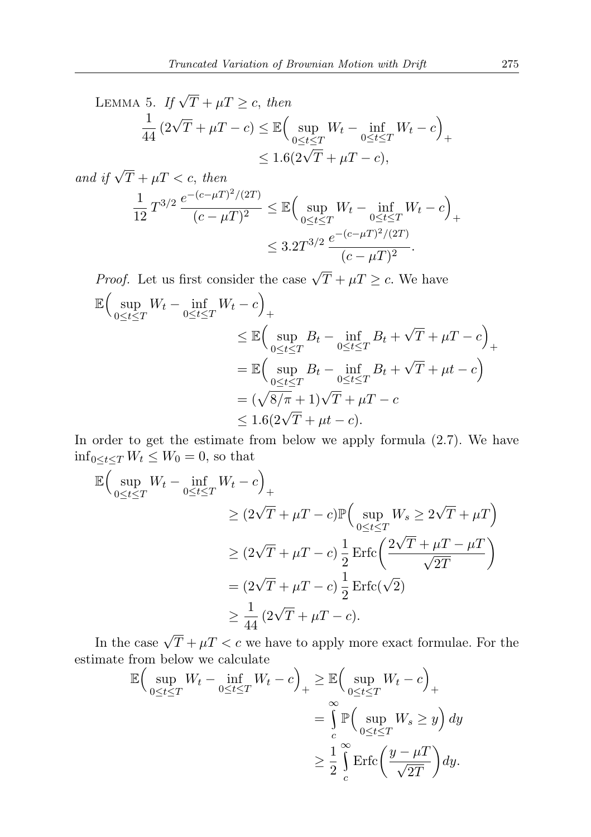LEMMA 5. If  $\sqrt{T} + \mu T \geq c$ , then 1  $\frac{1}{44} (2\sqrt{T} + \mu T - c) \leq \mathbb{E} \Big( \sup_{0 \leq t \leq c}$  $\sup_{0 \leq t \leq T} W_t - \inf_{0 \leq t \leq T} W_t - c$ +  $\leq 1.6(2\sqrt{T} + \mu T - c),$ 

and if 
$$
\sqrt{T} + \mu T < c
$$
, then  
\n
$$
\frac{1}{12} T^{3/2} \frac{e^{-(c-\mu T)^2/(2T)}}{(c-\mu T)^2} \le \mathbb{E} \Big( \sup_{0 \le t \le T} W_t - \inf_{0 \le t \le T} W_t - c \Big)_{+}
$$
\n
$$
\le 3.2 T^{3/2} \frac{e^{-(c-\mu T)^2/(2T)}}{(c-\mu T)^2}.
$$

*Proof.* Let us first consider the case  $\sqrt{T} + \mu T \ge c$ . We have  $\mathbb{E}$  (sup  $\sup_{0\leq t\leq T}W_t - \inf_{0\leq t\leq T}W_t - c$ +  $\leq \mathbb{E}$  sup  $\sup_{0\leq t\leq T} B_t - \inf_{0\leq t\leq T} B_t +$ √  $\overline{T} + \mu T - c$ +  $=\mathbb{E}(\sup)$  $\sup_{0\leq t\leq T} B_t - \inf_{0\leq t\leq T} B_t +$ √  $\overline{T} + \mu t - c$  $= (\sqrt{8/\pi} + 1)\sqrt{T} + \mu T - c$  $\leq 1.6(2\sqrt{T} + \mu t - c).$ 

In order to get the estimate from below we apply formula (2.7). We have  $\inf_{0 \leq t \leq T} W_t \leq W_0 = 0$ , so that

$$
\mathbb{E}\Big(\sup_{0\leq t\leq T} W_t - \inf_{0\leq t\leq T} W_t - c\Big)_{+}
$$
\n
$$
\geq (2\sqrt{T} + \mu T - c)\mathbb{P}\Big(\sup_{0\leq t\leq T} W_s \geq 2\sqrt{T} + \mu T\Big)
$$
\n
$$
\geq (2\sqrt{T} + \mu T - c)\frac{1}{2}\operatorname{Erfc}\left(\frac{2\sqrt{T} + \mu T - \mu T}{\sqrt{2T}}\right)
$$
\n
$$
= (2\sqrt{T} + \mu T - c)\frac{1}{2}\operatorname{Erfc}(\sqrt{2})
$$
\n
$$
\geq \frac{1}{44}(2\sqrt{T} + \mu T - c).
$$

In the case  $\sqrt{T} + \mu T < c$  we have to apply more exact formulae. For the estimate from below we calculate

$$
\mathbb{E}\Big(\sup_{0\leq t\leq T} W_t - \inf_{0\leq t\leq T} W_t - c\Big)_+ \geq \mathbb{E}\Big(\sup_{0\leq t\leq T} W_t - c\Big)_+ \n= \int\limits_c^\infty \mathbb{P}\Big(\sup_{0\leq t\leq T} W_s \geq y\Big) dy \n\geq \frac{1}{2} \int\limits_c^\infty \text{Erfc}\Big(\frac{y-\mu T}{\sqrt{2T}}\Big) dy.
$$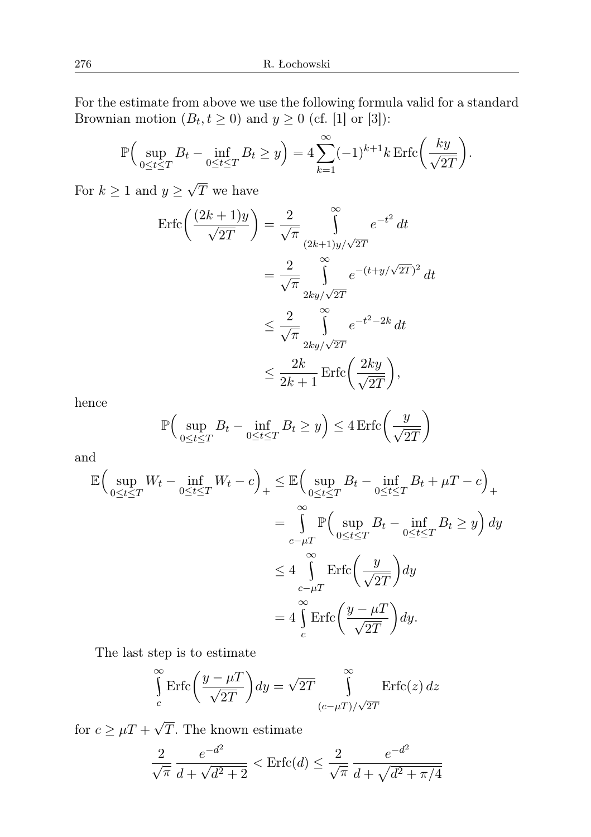For the estimate from above we use the following formula valid for a standard Brownian motion  $(B_t, t \ge 0)$  and  $y \ge 0$  (cf. [1] or [3]):

$$
\mathbb{P}\Big(\sup_{0\leq t\leq T} B_t - \inf_{0\leq t\leq T} B_t \geq y\Big) = 4\sum_{k=1}^{\infty} (-1)^{k+1} k \operatorname{Erfc}\bigg(\frac{ky}{\sqrt{2T}}\bigg).
$$

For  $k \geq 1$  and  $y \geq$ T we have

$$
\begin{split} \text{Erfc}\left(\frac{(2k+1)y}{\sqrt{2T}}\right) &= \frac{2}{\sqrt{\pi}} \int_{(2k+1)y/\sqrt{2T}}^{\infty} e^{-t^2} \, dt \\ &= \frac{2}{\sqrt{\pi}} \int_{2ky/\sqrt{2T}}^{\infty} e^{-(t+y/\sqrt{2T})^2} \, dt \\ &\le \frac{2}{\sqrt{\pi}} \int_{2ky/\sqrt{2T}}^{\infty} e^{-t^2 - 2k} \, dt \\ &\le \frac{2k}{2k+1} \, \text{Erfc}\left(\frac{2ky}{\sqrt{2T}}\right), \end{split}
$$

hence

$$
\mathbb{P}\Big(\sup_{0\leq t\leq T} B_t - \inf_{0\leq t\leq T} B_t \geq y\Big) \leq 4 \operatorname{Erfc}\left(\frac{y}{\sqrt{2T}}\right)
$$

and

$$
\mathbb{E}\Big(\sup_{0\leq t\leq T} W_t - \inf_{0\leq t\leq T} W_t - c\Big)_+ \leq \mathbb{E}\Big(\sup_{0\leq t\leq T} B_t - \inf_{0\leq t\leq T} B_t + \mu T - c\Big)_+ \n= \int_{c-\mu T}^{\infty} \mathbb{P}\Big(\sup_{0\leq t\leq T} B_t - \inf_{0\leq t\leq T} B_t \geq y\Big) dy \n\leq 4 \int_{c-\mu T}^{\infty} \text{Erfc}\Big(\frac{y}{\sqrt{2T}}\Big) dy \n= 4 \int_{c}^{\infty} \text{Erfc}\Big(\frac{y - \mu T}{\sqrt{2T}}\Big) dy.
$$

The last step is to estimate

$$
\int_{c}^{\infty} \text{Erfc}\left(\frac{y-\mu T}{\sqrt{2T}}\right) dy = \sqrt{2T} \int_{(c-\mu T)/\sqrt{2T}}^{\infty} \text{Erfc}(z) dz
$$

for  $c \geq \mu T +$ T. The known estimate

$$
\frac{2}{\sqrt{\pi}} \frac{e^{-d^2}}{d + \sqrt{d^2 + 2}} < \text{Erfc}(d) \le \frac{2}{\sqrt{\pi}} \frac{e^{-d^2}}{d + \sqrt{d^2 + \pi/4}}
$$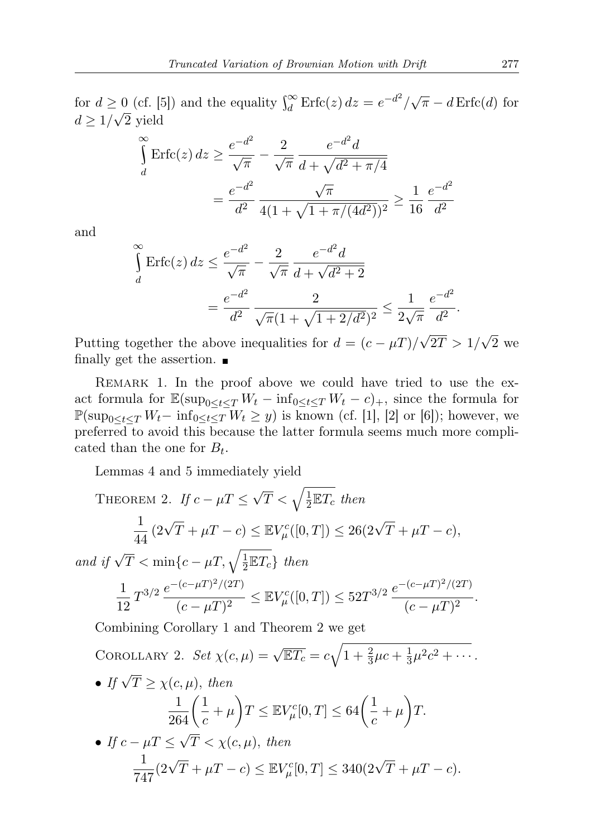for  $d \ge 0$  (cf. [5]) and the equality  $\int_{d}^{\infty} \text{Erfc}(z) dz = e^{-d^2}/\sqrt{\pi} - d \text{Erfc}(d)$  for  $d \geq 1/\sqrt{2}$  yield

$$
\int_{d}^{\infty} \text{Erfc}(z) dz \ge \frac{e^{-d^2}}{\sqrt{\pi}} - \frac{2}{\sqrt{\pi}} \frac{e^{-d^2} d}{d + \sqrt{d^2 + \pi/4}}
$$

$$
= \frac{e^{-d^2}}{d^2} \frac{\sqrt{\pi}}{4(1 + \sqrt{1 + \pi/(4d^2)})^2} \ge \frac{1}{16} \frac{e^{-d^2}}{d^2}
$$

and

$$
\int_{d}^{\infty} \text{Erfc}(z) dz \le \frac{e^{-d^2}}{\sqrt{\pi}} - \frac{2}{\sqrt{\pi}} \frac{e^{-d^2} d}{d + \sqrt{d^2 + 2}}
$$

$$
= \frac{e^{-d^2}}{d^2} \frac{2}{\sqrt{\pi}(1 + \sqrt{1 + 2/d^2})^2} \le \frac{1}{2\sqrt{\pi}} \frac{e^{-d^2}}{d^2}.
$$

Putting together the above inequalities for  $d = (c - \mu T)/\sqrt{ }$  $2T > 1/$ √ 2 we finally get the assertion.  $\blacksquare$ 

REMARK 1. In the proof above we could have tried to use the exact formula for  $\mathbb{E}(\sup_{0 \leq t \leq T} W_t - \inf_{0 \leq t \leq T} W_t - c)$ , since the formula for  $\mathbb{P}(\sup_{0\leq t\leq T}W_t-\inf_{0\leq t\leq T}W_t\geq y)$  is known (cf. [1], [2] or [6]); however, we preferred to avoid this because the latter formula seems much more complicated than the one for  $B_t$ .

Lemmas 4 and 5 immediately yield

THEOREM 2. If 
$$
c - \mu T \leq \sqrt{T} < \sqrt{\frac{1}{2} \mathbb{E} T_c}
$$
 then  
\n
$$
\frac{1}{44} (2\sqrt{T} + \mu T - c) \leq \mathbb{E} V_{\mu}^{c}([0, T]) \leq 26(2\sqrt{T} + \mu T - c),
$$
\nand if  $\sqrt{T} < \min \{c - \mu T, \sqrt{\frac{1}{2} \mathbb{E} T_c}\}$  then  
\n
$$
\frac{1}{12} T^{3/2} \frac{e^{-(c - \mu T)^2/(2T)}}{(c - \mu T)^2} \leq \mathbb{E} V_{\mu}^{c}([0, T]) \leq 52T^{3/2} \frac{e^{-(c - \mu T)^2/(2T)}}{(c - \mu T)^2}.
$$
\nCombining Corollary 1 and Theorem 2 we get  
\nCOROLLARY 2. Set  $\chi(c, \mu) = \sqrt{\mathbb{E} T_c} = c\sqrt{1 + \frac{2}{3}\mu c + \frac{1}{3}\mu^2 c^2 + \cdots}.$   
\n• If  $\sqrt{T} \geq \chi(c, \mu)$ , then  
\n
$$
\frac{1}{264} \left(\frac{1}{c} + \mu\right) T \leq \mathbb{E} V_{\mu}^{c}[0, T] \leq 64 \left(\frac{1}{c} + \mu\right) T.
$$

• If 
$$
c - \mu T \le \sqrt{T} < \chi(c, \mu)
$$
, then  
\n
$$
\frac{1}{747} (2\sqrt{T} + \mu T - c) \le \mathbb{E} V_{\mu}^{c}[0, T] \le 340 (2\sqrt{T} + \mu T - c).
$$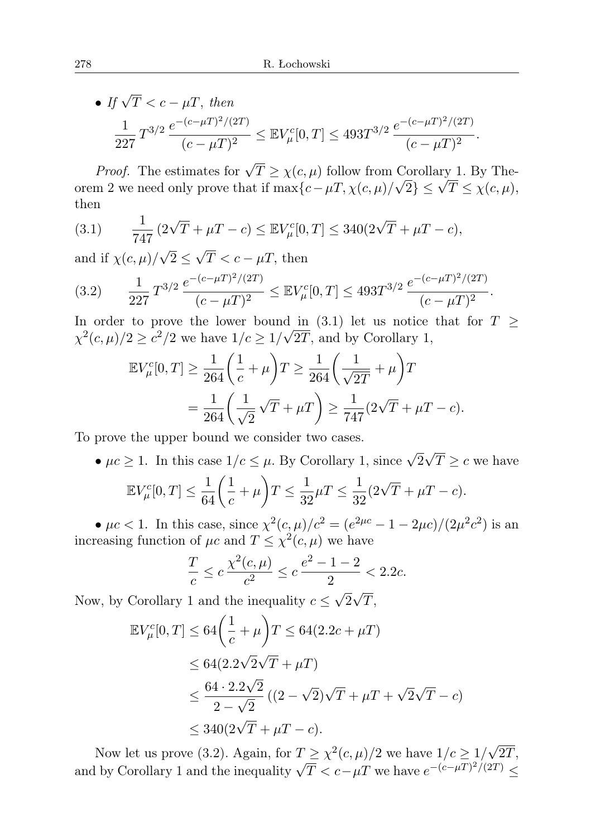• If  $\sqrt{T} < c - \mu T$ , then 1  $\frac{1}{227} T^{3/2} \frac{e^{-(c-\mu T)^2/(2T)}}{(c-\mu T)^2}$  $\frac{(-c - \mu T)^2/(2T)}{(c - \mu T)^2} \leq \mathbb{E} V_\mu^c[0, T] \leq 493 T^{3/2} \frac{e^{-(c - \mu T)^2/(2T)}}{(c - \mu T)^2}$  $\frac{1}{(c - \mu)^2}$ .

*Proof.* The estimates for  $\sqrt{T} \ge \chi(c, \mu)$  follow from Corollary 1. By The-*Proof.* The estimates for  $\sqrt{I} \geq \chi(c, \mu)$  follow from Corollary 1. By Theorem 2 we need only prove that if  $\max\{c - \mu T, \chi(c, \mu)/\sqrt{2}\} \leq \sqrt{T} \leq \chi(c, \mu)$ , then

(3.1) 
$$
\frac{1}{747} (2\sqrt{T} + \mu T - c) \leq \mathbb{E} V_{\mu}^{c}[0, T] \leq 340(2\sqrt{T} + \mu T - c),
$$

and if  $\chi(c,\mu)/$  $2\leq$  $T < c - \mu T$ , then

$$
(3.2) \qquad \frac{1}{227} T^{3/2} \frac{e^{-(c-\mu T)^2/(2T)}}{(c-\mu T)^2} \leq \mathbb{E} V^c_\mu[0,T] \leq 493 T^{3/2} \frac{e^{-(c-\mu T)^2/(2T)}}{(c-\mu T)^2}.
$$

In order to prove the lower bound in (3.1) let us notice that for  $T \geq$  $\chi^2(c,\mu)/2 \geq c^2/2$  we have  $1/c \geq 1/\sqrt{2T}$ , and by Corollary 1,

$$
\mathbb{E}V_{\mu}^{c}[0,T] \ge \frac{1}{264} \left(\frac{1}{c} + \mu\right)T \ge \frac{1}{264} \left(\frac{1}{\sqrt{2T}} + \mu\right)T
$$
  
=  $\frac{1}{264} \left(\frac{1}{\sqrt{2}}\sqrt{T} + \mu T\right) \ge \frac{1}{747} (2\sqrt{T} + \mu T - c).$ 

To prove the upper bound we consider two cases.

•  $\mu c \ge 1$ . In this case  $1/c \le \mu$ . By Corollary 1, since  $\sqrt{2}$ .<br>∙ √  $T \geq c$  we have  $\mathbb{E} V_\mu^c[0,T] \leq \frac{1}{64} \bigg( \frac{1}{c}$  $\frac{1}{c} + \mu \left( T \leq \frac{1}{32} \right)$  $\frac{1}{32}\mu T \leq \frac{1}{32}$  $\frac{1}{32}(2\sqrt{T} + \mu T - c).$ 

•  $\mu c < 1$ . In this case, since  $\chi^2(c,\mu)/c^2 = (e^{2\mu c} - 1 - 2\mu c)/(2\mu^2 c^2)$  is an increasing function of  $\mu c$  and  $T \leq \chi^2(c, \mu)$  we have

$$
\frac{T}{c} \le c \frac{\chi^2(c,\mu)}{c^2} \le c \frac{e^2 - 1 - 2}{2} < 2.2c.
$$

Now, by Corollary 1 and the inequality  $c \leq$  $\overline{2}$  $T,$ 

$$
\mathbb{E}V_{\mu}^{c}[0,T] \leq 64\left(\frac{1}{c} + \mu\right)T \leq 64(2.2c + \mu T)
$$
  
\n
$$
\leq 64(2.2\sqrt{2}\sqrt{T} + \mu T)
$$
  
\n
$$
\leq \frac{64 \cdot 2.2\sqrt{2}}{2 - \sqrt{2}}((2 - \sqrt{2})\sqrt{T} + \mu T + \sqrt{2}\sqrt{T} - c)
$$
  
\n
$$
\leq 340(2\sqrt{T} + \mu T - c).
$$

Now let us prove (3.2). Again, for  $T \geq \chi^2(c,\mu)/2$  we have  $1/c \geq 1/2$ √  $^{\prime}2T,$ Now let us prove (3.2). Again, for  $I \geq \chi$  (c,  $\mu$ )/2 we have  $I/C \geq I/\sqrt{2}I$ , and by Corollary 1 and the inequality  $\sqrt{T} < c - \mu T$  we have  $e^{-(c-\mu T)^2/(2T)} \leq$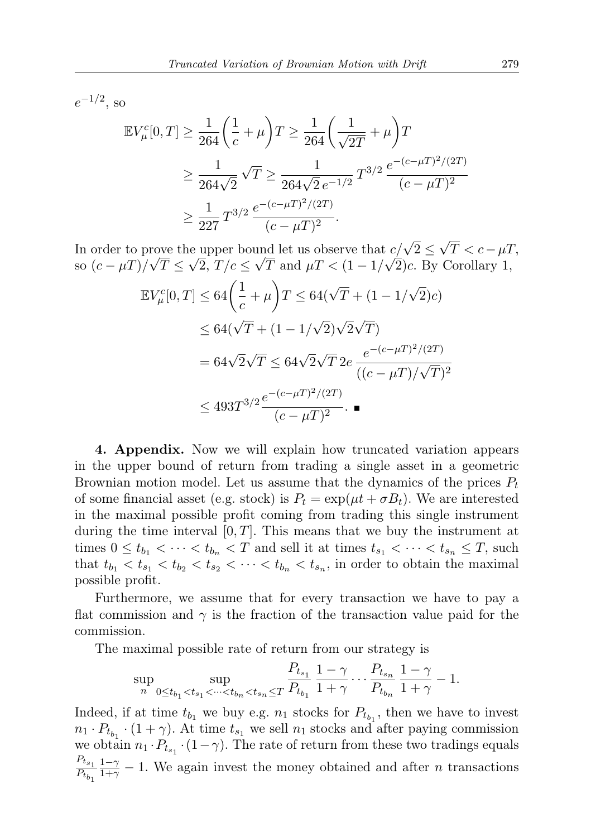$e^{-1/2}$ , so

$$
\mathbb{E}V_{\mu}^{c}[0,T] \ge \frac{1}{264} \left(\frac{1}{c} + \mu\right)T \ge \frac{1}{264} \left(\frac{1}{\sqrt{2T}} + \mu\right)T
$$
  

$$
\ge \frac{1}{264\sqrt{2}} \sqrt{T} \ge \frac{1}{264\sqrt{2} e^{-1/2}} T^{3/2} \frac{e^{-(c-\mu T)^2/(2T)}}{(c-\mu T)^2}
$$
  

$$
\ge \frac{1}{227} T^{3/2} \frac{e^{-(c-\mu T)^2/(2T)}}{(c-\mu T)^2}.
$$

In order to prove the upper bound let us observe that  $c/\sqrt{2} \leq$ √  $T < c - \mu T$ , so  $(c - \mu)$ / ro  $T \leq$ √  $2, T/c \leq$ √ T and  $\mu$ T <  $(1-1)$ √ 2)c. By Corollary 1,

$$
\mathbb{E}V_{\mu}^{c}[0,T] \leq 64\left(\frac{1}{c} + \mu\right)T \leq 64(\sqrt{T} + (1 - 1/\sqrt{2})c)
$$
  

$$
\leq 64(\sqrt{T} + (1 - 1/\sqrt{2})\sqrt{2}\sqrt{T})
$$
  

$$
= 64\sqrt{2}\sqrt{T} \leq 64\sqrt{2}\sqrt{T} 2e^{-\frac{e^{-(c-\mu T)^{2}/(2T)}}{((c-\mu T)/\sqrt{T})^{2}}}
$$
  

$$
\leq 493T^{3/2}\frac{e^{-(c-\mu T)^{2}/(2T)}}{(c-\mu T)^{2}}.\blacksquare
$$

4. Appendix. Now we will explain how truncated variation appears in the upper bound of return from trading a single asset in a geometric Brownian motion model. Let us assume that the dynamics of the prices  $P_t$ of some financial asset (e.g. stock) is  $P_t = \exp(\mu t + \sigma B_t)$ . We are interested in the maximal possible profit coming from trading this single instrument during the time interval  $[0, T]$ . This means that we buy the instrument at times  $0 \le t_{b_1} < \cdots < t_{b_n} < T$  and sell it at times  $t_{s_1} < \cdots < t_{s_n} \le T$ , such that  $t_{b_1} < t_{s_1} < t_{b_2} < t_{s_2} < \cdots < t_{b_n} < t_{s_n}$ , in order to obtain the maximal possible profit.

Furthermore, we assume that for every transaction we have to pay a flat commission and  $\gamma$  is the fraction of the transaction value paid for the commission.

The maximal possible rate of return from our strategy is

$$
\sup_{n} \sup_{0 \le t_{b_1} < t_{s_1} < \dots < t_{b_n} < t_{s_n} \le T} \frac{P_{t_{s_1}}}{P_{t_{b_1}}} \frac{1 - \gamma}{1 + \gamma} \dots \frac{P_{t_{s_n}}}{P_{t_{b_n}}} \frac{1 - \gamma}{1 + \gamma} - 1.
$$

Indeed, if at time  $t_{b_1}$  we buy e.g.  $n_1$  stocks for  $P_{t_{b_1}}$ , then we have to invest  $n_1 \cdot P_{t_{b_1}} \cdot (1 + \gamma)$ . At time  $t_{s_1}$  we sell  $n_1$  stocks and after paying commission we obtain  $n_1 \cdot P_{t_{s_1}} \cdot (1 - \gamma)$ . The rate of return from these two tradings equals  $\frac{P_{ts_1}}{P_{ts_1}}$  $P_{t_{b_1}}$  $\frac{1-\gamma}{1+\gamma} - 1$ . We again invest the money obtained and after *n* transactions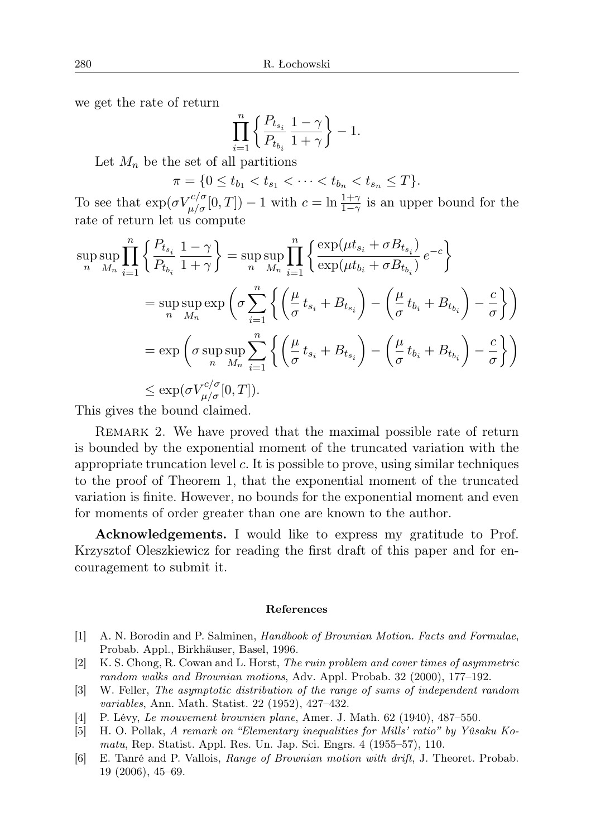we get the rate of return

$$
\prod_{i=1}^n\left\{\frac{P_{t_{s_i}}}{P_{t_{b_i}}}\frac{1-\gamma}{1+\gamma}\right\}-1.
$$

Let  $M_n$  be the set of all partitions

 $\pi = \{0 \leq t_{b_1} < t_{s_1} < \cdots < t_{b_n} < t_{s_n} \leq T\}.$ 

To see that  $\exp(\sigma V_{\mu/\sigma}^{c/\sigma}[0,T]) - 1$  with  $c = \ln \frac{1+\gamma}{1-\gamma}$  is an upper bound for the rate of return let us compute

$$
\sup_{n} \sup_{M_n} \prod_{i=1}^{n} \left\{ \frac{P_{t_{s_i}}}{P_{t_{b_i}}} \frac{1-\gamma}{1+\gamma} \right\} = \sup_{n} \sup_{M_n} \prod_{i=1}^{n} \left\{ \frac{\exp(\mu t_{s_i} + \sigma B_{t_{s_i}})}{\exp(\mu t_{b_i} + \sigma B_{t_{b_i}})} e^{-c} \right\}
$$
  
\n
$$
= \sup_{n} \sup_{M_n} \exp \left( \sigma \sum_{i=1}^{n} \left\{ \left( \frac{\mu}{\sigma} t_{s_i} + B_{t_{s_i}} \right) - \left( \frac{\mu}{\sigma} t_{b_i} + B_{t_{b_i}} \right) - \frac{c}{\sigma} \right\} \right)
$$
  
\n
$$
= \exp \left( \sigma \sup_{n} \sup_{M_n} \sum_{i=1}^{n} \left\{ \left( \frac{\mu}{\sigma} t_{s_i} + B_{t_{s_i}} \right) - \left( \frac{\mu}{\sigma} t_{b_i} + B_{t_{b_i}} \right) - \frac{c}{\sigma} \right\} \right)
$$
  
\n
$$
\leq \exp(\sigma V_{\mu/\sigma}^{c/\sigma}[0, T]).
$$

This gives the bound claimed.

Remark 2. We have proved that the maximal possible rate of return is bounded by the exponential moment of the truncated variation with the appropriate truncation level  $c$ . It is possible to prove, using similar techniques to the proof of Theorem 1, that the exponential moment of the truncated variation is finite. However, no bounds for the exponential moment and even for moments of order greater than one are known to the author.

Acknowledgements. I would like to express my gratitude to Prof. Krzysztof Oleszkiewicz for reading the first draft of this paper and for encouragement to submit it.

## References

- [1] A. N. Borodin and P. Salminen, Handbook of Brownian Motion. Facts and Formulae, Probab. Appl., Birkhäuser, Basel, 1996.
- [2] K. S. Chong, R. Cowan and L. Horst, The ruin problem and cover times of asymmetric random walks and Brownian motions, Adv. Appl. Probab. 32 (2000), 177–192.
- [3] W. Feller, The asymptotic distribution of the range of sums of independent random variables, Ann. Math. Statist. 22 (1952), 427–432.
- [4] P. Lévy, Le mouvement brownien plane, Amer. J. Math. 62 (1940), 487–550.
- [5] H. O. Pollak, A remark on "Elementary inequalities for Mills' ratio" by Yûsaku Komatu, Rep. Statist. Appl. Res. Un. Jap. Sci. Engrs. 4 (1955–57), 110.
- [6] E. Tanré and P. Vallois, Range of Brownian motion with drift, J. Theoret. Probab. 19 (2006), 45–69.